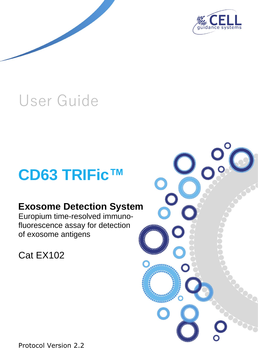

# User Guide

# **CD63 TRIFic™**

# **Exosome Detection System**

Europium time-resolved immunofluorescence assay for detection of exosome antigens

Cat EX102

Protocol Version 2.2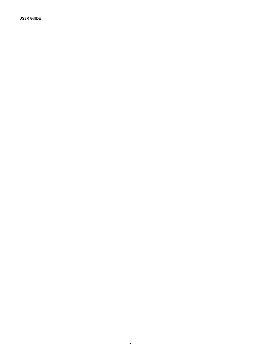USER GUIDE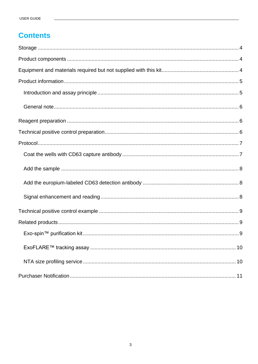# **Contents**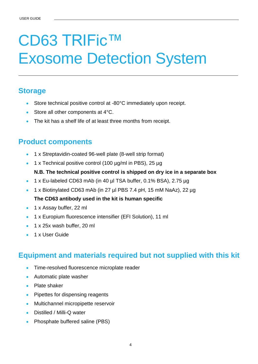# CD63 TRIFic™ Exosome Detection System

# **Storage**

- <span id="page-3-0"></span>• Store technical positive control at -80°C immediately upon receipt.
- Store all other components at 4°C.
- The kit has a shelf life of at least three months from receipt.

## <span id="page-3-1"></span>**Product components**

- 1 x Streptavidin-coated 96-well plate (8-well strip format)
- 1 x Technical positive control (100  $\mu$ g/ml in PBS), 25  $\mu$ g
	- **N.B. The technical positive control is shipped on dry ice in a separate box**
- 1 x Eu-labeled CD63 mAb (in 40 µl TSA buffer, 0.1% BSA), 2.75 µg
- 1 x Biotinylated CD63 mAb (in 27 µl PBS 7.4 pH, 15 mM NaAz), 22 µg **The CD63 antibody used in the kit is human specific**
- 1 x Assay buffer, 22 ml
- 1 x Europium fluorescence intensifier (EFI Solution), 11 ml
- 1 x 25x wash buffer, 20 ml
- 1 x User Guide

## <span id="page-3-2"></span>**Equipment and materials required but not supplied with this kit**

- Time-resolved fluorescence microplate reader
- Automatic plate washer
- Plate shaker
- Pipettes for dispensing reagents
- Multichannel micropipette reservoir
- Distilled / Milli-Q water
- Phosphate buffered saline (PBS)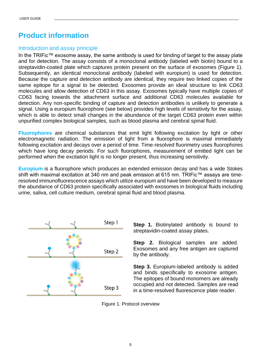# <span id="page-4-0"></span>**Product information**

### <span id="page-4-1"></span>Introduction and assay principle

In the TRIFic™ exosome assay, the same antibody is used for binding of target to the assay plate and for detection. The assay consists of a monoclonal antibody (labeled with biotin) bound to a streptavidin-coated plate which captures protein present on the surface of exosomes (Figure 1). Subsequently, an identical monoclonal antibody (labeled with europium) is used for detection. Because the capture and detection antibody are identical, they require two linked copies of the same epitope for a signal to be detected. Exosomes provide an ideal structure to link CD63 molecules and allow detection of CD63 in this assay. Exosomes typically have multiple copies of CD63 facing towards the attachment surface and additional CD63 molecules available for detection. Any non-specific binding of capture and detection antibodies is unlikely to generate a signal. Using a europium fluorophore (see below) provides high levels of sensitivity for the assay, which is able to detect small changes in the abundance of the target CD63 protein even within unpurified complex biological samples, such as blood plasma and cerebral spinal fluid.

**Fluorophores** are chemical substances that emit light following excitation by light or other electromagnetic radiation. The emission of light from a fluorophore is maximal immediately following excitation and decays over a period of time. Time-resolved fluorimetry uses fluorophores which have long decay periods. For such fluorophores, measurement of emitted light can be performed when the excitation light is no longer present, thus increasing sensitivity.

**Europium** is a fluorophore which produces an extended emission decay and has a wide Stokes shift with maximal excitation at 340 nm and peak emission at 615 nm. TRIFic™ assays are timeresolved immunofluorescence assays which utilize europium and have been developed to measure the abundance of CD63 protein specifically associated with exosomes in biological fluids including urine, saliva, cell culture medium, cerebral spinal fluid and blood plasma.



**Step 1.** Biotinylated antibody is bound to streptavidin-coated assay plates.

**Step 2.** Biological samples are added. Exosomes and any free antigen are captured by the antibody.

**Step 3.** Europium-labeled antibody is added and binds specifically to exosome antigen. The epitopes of bound monomers are already occupied and not detected. Samples are read in a time-resolved fluorescence plate reader.

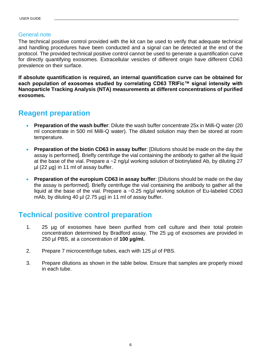## <span id="page-5-0"></span>General note

The technical positive control provided with the kit can be used to verify that adequate technical and handling procedures have been conducted and a signal can be detected at the end of the protocol. The provided technical positive control cannot be used to generate a quantification curve for directly quantifying exosomes. Extracellular vesicles of different origin have different CD63 prevalence on their surface.

**If absolute quantification is required, an internal quantification curve can be obtained for each population of exosomes studied by correlating CD63 TRIFic™ signal intensity with Nanoparticle Tracking Analysis (NTA) measurements at different concentrations of purified exosomes.**

## <span id="page-5-1"></span>**Reagent preparation**

- **Preparation of the wash buffer**: Dilute the wash buffer concentrate 25x in Milli-Q water (20 ml concentrate in 500 ml Milli-Q water). The diluted solution may then be stored at room temperature.
- **Preparation of the biotin CD63 in assay buffer**: [Dilutions should be made on the day the assay is performed]. Briefly centrifuge the vial containing the antibody to gather all the liquid at the base of the vial. Prepare a  $\sim$ 2 ng/ul working solution of biotinylated Ab, by diluting 27 µl (22 µg) in 11 ml of assay buffer.
- **Preparation of the europium CD63 in assay buffer**: [Dilutions should be made on the day the assay is performed]. Briefly centrifuge the vial containing the antibody to gather all the liquid at the base of the vial. Prepare a ~0.25 ng/ul working solution of Eu-labeled CD63 mAb, by diluting 40 µl (2.75 µg) in 11 ml of assay buffer.

## <span id="page-5-2"></span>**Technical positive control preparation**

- 1. 25 µg of exosomes have been purified from cell culture and their total protein concentration determined by Bradford assay. The 25 µg of exosomes are provided in 250 µl PBS, at a concentration of **100 µg/ml.**
- 2. Prepare 7 microcentrifuge tubes, each with 125 µl of PBS.
- 3. Prepare dilutions as shown in the table below. Ensure that samples are properly mixed in each tube.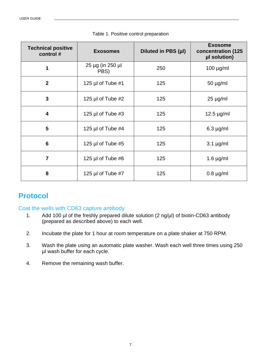| <b>Technical positive</b><br>control # | <b>Exosomes</b>          | Diluted in PBS (µI) | <b>Exosome</b><br>concentration (125<br>µI solution) |
|----------------------------------------|--------------------------|---------------------|------------------------------------------------------|
| 1                                      | 25 µg (in 250 µl<br>PBS) | 250                 | $100 \mu g/ml$                                       |
| $\overline{2}$                         | 125 $\mu$ I of Tube #1   | 125                 | $50 \mu g/ml$                                        |
| 3                                      | 125 $\mu$ l of Tube #2   | 125                 | $25 \mu g/ml$                                        |
| $\overline{\mathbf{4}}$                | 125 $\mu$ l of Tube #3   | 125                 | $12.5 \mu g/ml$                                      |
| 5                                      | 125 µl of Tube $#4$      | 125                 | $6.3 \mu g/ml$                                       |
| $6\phantom{1}$                         | 125 $\mu$ l of Tube #5   | 125                 | $3.1 \mu g/ml$                                       |
| $\overline{7}$                         | 125 $\mu$ l of Tube #6   | 125                 | $1.6 \mu g/ml$                                       |
| 8                                      | 125 $\mu$ l of Tube #7   | 125                 | $0.8 \mu g/ml$                                       |

#### Table 1. Positive control preparation

# <span id="page-6-0"></span>**Protocol**

<span id="page-6-1"></span>Coat the wells with CD63 capture antibody

- 1. Add 100 µl of the freshly prepared dilute solution (2 ng/µl) of biotin-CD63 antibody (prepared as described above) to each well.
- 2. Incubate the plate for 1 hour at room temperature on a plate shaker at 750 RPM.
- 3. Wash the plate using an automatic plate washer. Wash each well three times using 250 µl wash buffer for each cycle.
- 4. Remove the remaining wash buffer.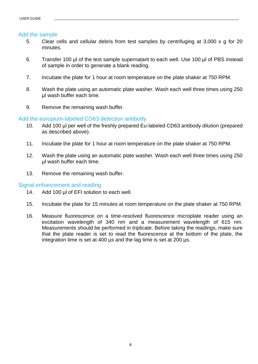### <span id="page-7-0"></span>Add the sample

- 5. Clear cells and cellular debris from test samples by centrifuging at 3,000 x g for 20 minutes.
- 6. Transfer 100 µl of the test sample supernatant to each well. Use 100 µl of PBS instead of sample in order to generate a blank reading.
- 7. Incubate the plate for 1 hour at room temperature on the plate shaker at 750 RPM.
- 8. Wash the plate using an automatic plate washer. Wash each well three times using 250 µl wash buffer each time.
- 9. Remove the remaining wash buffer.

#### <span id="page-7-1"></span>Add the europium-labeled CD63 detection antibody

- 10. Add 100 µl per well of the freshly prepared Eu-labeled CD63 antibody dilution (prepared as described above).
- 11. Incubate the plate for 1 hour at room temperature on the plate shaker at 750 RPM.
- 12. Wash the plate using an automatic plate washer. Wash each well three times using 250 µl wash buffer each time.
- 13. Remove the remaining wash buffer.

#### <span id="page-7-2"></span>Signal enhancement and reading

- 14. Add 100 µl of EFI solution to each well.
- 15. Incubate the plate for 15 minutes at room temperature on the plate shaker at 750 RPM.
- 16. Measure fluorescence on a time-resolved fluorescence microplate reader using an excitation wavelength of 340 nm and a measurement wavelength of 615 nm. Measurements should be performed in triplicate. Before taking the readings, make sure that the plate reader is set to read the fluorescence at the bottom of the plate, the integration time is set at 400 µs and the lag time is set at 200 µs.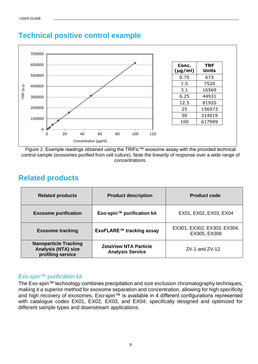

## <span id="page-8-0"></span>**Technical positive control example**

Figure 2. Example readings obtained using the TRIFic™ exosome assay with the provided technical control sample (exosomes purified from cell culture). Note the linearity of response over a wide range of concentrations.

# <span id="page-8-1"></span>**Related products**

| <b>Related products</b>                                                         | <b>Product description</b>                              | <b>Product code</b>                         |
|---------------------------------------------------------------------------------|---------------------------------------------------------|---------------------------------------------|
| <b>Exosome purification</b>                                                     | Exo-spin™ purification kit                              | EX01, EX02, EX03, EX04                      |
| <b>Exosome tracking</b>                                                         | ExoFLARE™ tracking assay                                | EX301, EX302, EX303, EX304,<br>EX305, EX306 |
| <b>Nanoparticle Tracking</b><br><b>Analysis (NTA) size</b><br>profiling service | <b>ZetaView NTA Particle</b><br><b>Analysis Service</b> | $ZV-1$ and $ZV-12$                          |

## <span id="page-8-2"></span>Exo-spin™ purification kit

The Exo-spin™ technology combines precipitation and size exclusion chromatography techniques, making it a superior method for exosome separation and concentration, allowing for high specificity and high recovery of exosomes. Exo-spin™ is available in 4 different configurations represented with catalogue codes EX01, EX02, EX03, and EX04; specifically designed and optimized for different sample types and downstream applications.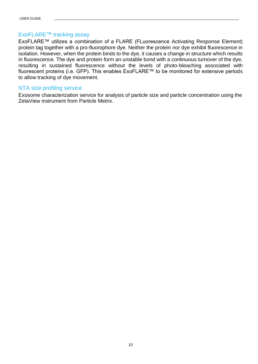## <span id="page-9-0"></span>ExoFLARE™ tracking assay

ExoFLARE™ utilizes a combination of a FLARE (FLuorescence Activating Response Element) protein tag together with a pro-fluorophore dye. Neither the protein nor dye exhibit fluorescence in isolation. However, when the protein binds to the dye, it causes a change in structure which results in fluorescence. The dye and protein form an unstable bond with a continuous turnover of the dye, resulting in sustained fluorescence without the levels of photo-bleaching associated with fluorescent proteins (i.e. GFP). This enables ExoFLARE™ to be monitored for extensive periods to allow tracking of dye movement.

### <span id="page-9-1"></span>NTA size profiling service

Exosome characterization service for analysis of particle size and particle concentration using the ZetaView instrument from Particle Metrix.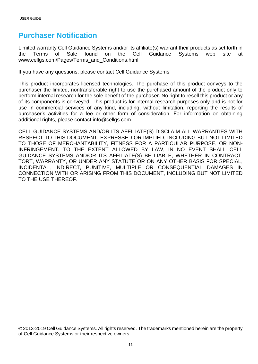# <span id="page-10-0"></span>**Purchaser Notification**

Limited warranty Cell Guidance Systems and/or its affiliate(s) warrant their products as set forth in the Terms of Sale found on the Cell Guidance Systems web site at www.cellgs.com/Pages/Terms\_and\_Conditions.html

If you have any questions, please contact Cell Guidance Systems.

This product incorporates licensed technologies. The purchase of this product conveys to the purchaser the limited, nontransferable right to use the purchased amount of the product only to perform internal research for the sole benefit of the purchaser. No right to resell this product or any of its components is conveyed. This product is for internal research purposes only and is not for use in commercial services of any kind, including, without limitation, reporting the results of purchaser's activities for a fee or other form of consideration. For information on obtaining additional rights, please contact info@cellgs.com.

CELL GUIDANCE SYSTEMS AND/OR ITS AFFILIATE(S) DISCLAIM ALL WARRANTIES WITH RESPECT TO THIS DOCUMENT, EXPRESSED OR IMPLIED, INCLUDING BUT NOT LIMITED TO THOSE OF MERCHANTABILITY, FITNESS FOR A PARTICULAR PURPOSE, OR NON-INFRINGEMENT. TO THE EXTENT ALLOWED BY LAW, IN NO EVENT SHALL CELL GUIDANCE SYSTEMS AND/OR ITS AFFILIATE(S) BE LIABLE, WHETHER IN CONTRACT, TORT, WARRANTY, OR UNDER ANY STATUTE OR ON ANY OTHER BASIS FOR SPECIAL, INCIDENTAL, INDIRECT, PUNITIVE, MULTIPLE OR CONSEQUENTIAL DAMAGES IN CONNECTION WITH OR ARISING FROM THIS DOCUMENT, INCLUDING BUT NOT LIMITED TO THE USE THEREOF.

© 2013-2019 Cell Guidance Systems. All rights reserved. The trademarks mentioned herein are the property of Cell Guidance Systems or their respective owners.